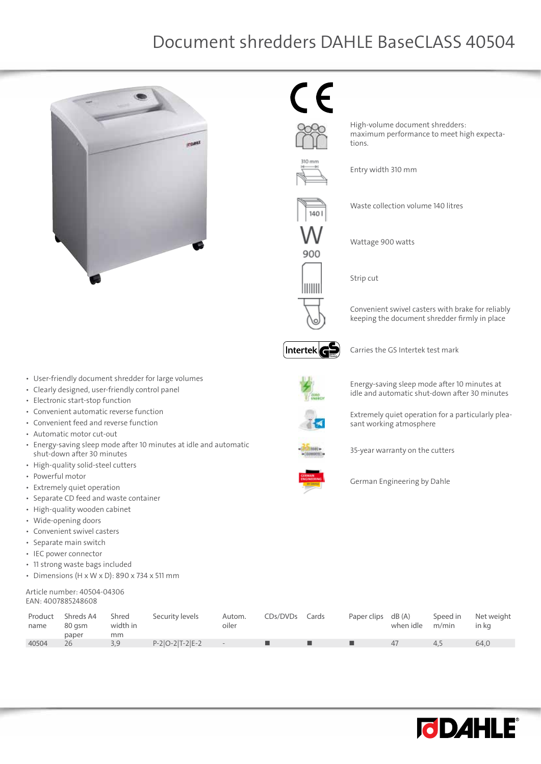## Document shredders DAHLE BaseCLASS 40504



 $\in$ 



Entry width 310 mm

Waste collection volume 140 litres

High-volume document shredders:

maximum performance to meet high expecta-

Wattage 900 watts

Strip cut

tions.

Convenient swivel casters with brake for reliably keeping the document shredder firmly in place



900

IIIIIII

Carries the GS Intertek test mark



Energy-saving sleep mode after 10 minutes at idle and automatic shut-down after 30 minutes

Extremely quiet operation for a particularly pleasant working atmosphere

35-year warranty on the cutters

German Engineering by Dahle

| Product<br>name | Shreds A4<br>80 asm<br>paper | Shred<br>width in<br>mm | Security levels   | Autom.<br>oiler | CDs/DVDs Cards | Paper clips dB (A) | when idle | Speed in<br>m/min | Net weight<br>in ka |
|-----------------|------------------------------|-------------------------|-------------------|-----------------|----------------|--------------------|-----------|-------------------|---------------------|
| 40504           | 26                           | 3.9                     | $P-2 O-2 T-2 E-2$ | $ -$            |                |                    | 47        | 4.5               | 64.0                |



• User-friendly document shredder for large volumes

- • Clearly designed, user-friendly control panel
- • Electronic start-stop function
- Convenient automatic reverse function
- Convenient feed and reverse function
- • Automatic motor cut-out
- • Energy-saving sleep mode after 10 minutes at idle and automatic shut-down after 30 minutes
- • High-quality solid-steel cutters
- • Powerful motor
- • Extremely quiet operation
- • Separate CD feed and waste container
- • High-quality wooden cabinet
- • Wide-opening doors
- • Convenient swivel casters
- • Separate main switch
- • IEC power connector
- • 11 strong waste bags included
- Dimensions  $(H \times W \times D)$ : 890 x 734 x 511 mm

## Article number: 40504-04306 EAN: 4007885248608

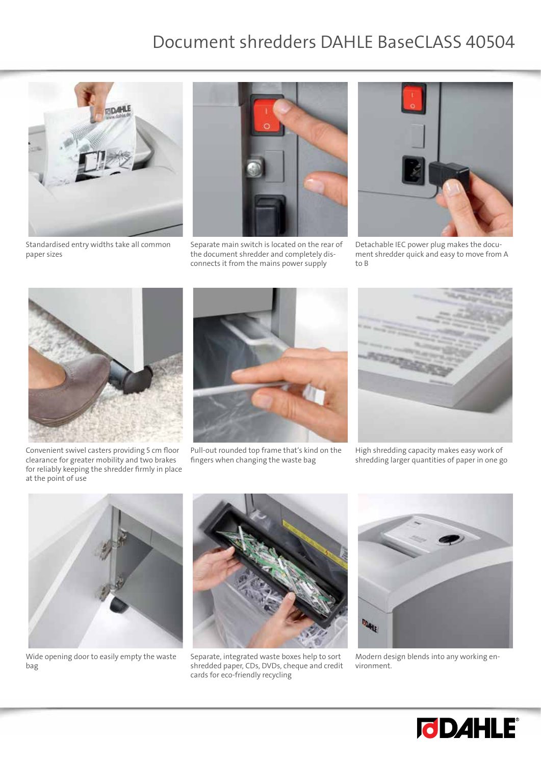## Document shredders DAHLE BaseCLASS 40504



Standardised entry widths take all common paper sizes



Separate main switch is located on the rear of the document shredder and completely disconnects it from the mains power supply



Detachable IEC power plug makes the document shredder quick and easy to move from A to B



Convenient swivel casters providing 5 cm floor clearance for greater mobility and two brakes for reliably keeping the shredder firmly in place at the point of use



Pull-out rounded top frame that's kind on the fingers when changing the waste bag



High shredding capacity makes easy work of shredding larger quantities of paper in one go



Wide opening door to easily empty the waste bag



Separate, integrated waste boxes help to sort shredded paper, CDs, DVDs, cheque and credit cards for eco-friendly recycling



Modern design blends into any working environment.